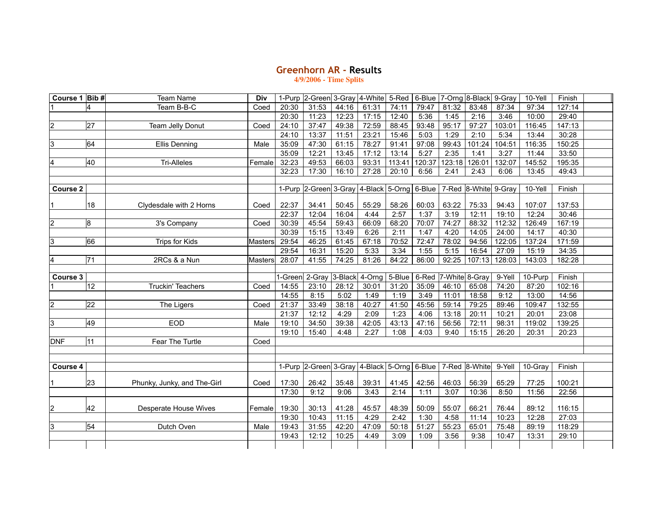## **Greenhorn AR ‑ Results**

**4/9/2006 - Time Splits**

| Course 1 Bib # |                 | <b>Team Name</b>            | Div            | 1-Purp  | 2-Green 3-Gray 4-White                      |       |                | 5-Red  | 6-Blue |                | 7-Orng 8-Black       | 9-Gray | 10-Yell | Finish |  |
|----------------|-----------------|-----------------------------|----------------|---------|---------------------------------------------|-------|----------------|--------|--------|----------------|----------------------|--------|---------|--------|--|
|                |                 | Team B-B-C                  | Coed           | 20:30   | 31:53                                       | 44:16 | 61:31          | 74:11  | 79:47  | 81:32          | 83:48                | 87:34  | 97:34   | 127:14 |  |
|                |                 |                             |                | 20:30   | 11:23                                       | 12:23 | 17:15          | 12:40  | 5:36   | 1:45           | 2:16                 | 3:46   | 10:00   | 29:40  |  |
| $\overline{c}$ | 27              | Team Jelly Donut            | Coed           | 24:10   | 37:47                                       | 49:38 | 72:59          | 88:45  | 93:48  | 95:17          | 97:27                | 103:01 | 116:45  | 147:13 |  |
|                |                 |                             |                | 24:10   | 13:37                                       | 11:51 | 23:21          | 15:46  | 5:03   | 1:29           | 2:10                 | 5:34   | 13:44   | 30:28  |  |
| 3              | 64              | <b>Ellis Denning</b>        | Male           | 35:09   | 47:30                                       | 61:15 | 78:27          | 91:41  | 97:08  | 99:43          | 101:24               | 104:51 | 116:35  | 150:25 |  |
|                |                 |                             |                | 35:09   | 12:21                                       | 13:45 | 17:12          | 13:14  | 5:27   | 2:35           | 1:41                 | 3:27   | 11:44   | 33:50  |  |
| 4              | 40              | <b>Tri-Alleles</b>          | Female         | 32:23   | 49:53                                       | 66:03 | 93:31          | 113:41 | 120:37 | 123:18         | 126:01               | 132:07 | 145:52  | 195:35 |  |
|                |                 |                             |                | 32:23   | 17:30                                       | 16:10 | 27:28          | 20:10  | 6:56   | 2:41           | 2:43                 | 6:06   | 13:45   | 49:43  |  |
|                |                 |                             |                |         |                                             |       |                |        |        |                |                      |        |         |        |  |
| Course 2       |                 |                             |                |         | 1-Purp 2-Green 3-Gray 4-Black 5-Orng 6-Blue |       |                |        |        |                | 7-Red 8-White 9-Gray |        | 10-Yell | Finish |  |
|                | 18              | Clydesdale with 2 Horns     | Coed           | 22:37   | 34:41                                       | 50:45 | 55:29          | 58:26  | 60:03  | 63:22          | 75:33                | 94:43  | 107:07  | 137:53 |  |
|                |                 |                             |                | 22:37   | 12:04                                       | 16:04 | 4:44           | 2:57   | 1:37   | 3:19           | 12:11                | 19:10  | 12:24   | 30:46  |  |
| $\overline{2}$ | 8               | 3's Company                 | Coed           | 30:39   | 45:54                                       | 59:43 | 66:09          | 68:20  | 70:07  | 74:27          | 88:32                | 112:32 | 126:49  | 167:19 |  |
|                |                 |                             |                | 30:39   | 15:15                                       | 13:49 | 6:26           | 2:11   | 1:47   | 4:20           | 14:05                | 24:00  | 14:17   | 40:30  |  |
| 3              | 66              | Trips for Kids              | <b>Masters</b> | 29:54   | 46:25                                       | 61:45 | 67:18          | 70:52  | 72:47  | 78:02          | 94:56                | 122:05 | 137:24  | 171:59 |  |
|                |                 |                             |                | 29:54   | 16:31                                       | 15:20 | 5:33           | 3:34   | 1:55   | 5:15           | 16:54                | 27:09  | 15:19   | 34:35  |  |
| 4              | $\overline{71}$ | 2RCs & a Nun                | <b>Masters</b> | 28:07   | 41:55                                       | 74:25 | 81:26          | 84:22  | 86:00  | 92:25          | 107:13               | 128:03 | 143:03  | 182:28 |  |
| Course 3       |                 |                             |                | I-Green | 2-Gray                                      |       | 3-Black 4-Orng | 5-Blue | 6-Red  | 7-White 8-Gray |                      | 9-Yell | 10-Purp | Finish |  |
|                | 12              | Truckin' Teachers           | Coed           | 14:55   | 23:10                                       | 28:12 | 30:01          | 31:20  | 35:09  | 46:10          | 65:08                | 74:20  | 87:20   | 102:16 |  |
|                |                 |                             |                | 14:55   | 8:15                                        | 5:02  | 1:49           | 1:19   | 3:49   | 11:01          | 18:58                | 9:12   | 13:00   | 14:56  |  |
| $\overline{2}$ | $\overline{22}$ | The Ligers                  | Coed           | 21:37   | 33:49                                       | 38:18 | 40:27          | 41:50  | 45:56  | 59:14          | 79:25                | 89:46  | 109:47  | 132:55 |  |
|                |                 |                             |                | 21:37   | 12:12                                       | 4:29  | 2:09           | 1:23   | 4:06   | 13:18          | 20:11                | 10:21  | 20:01   | 23:08  |  |
| 3              | 49              | <b>EOD</b>                  | Male           | 19:10   | 34:50                                       | 39:38 | 42:05          | 43:13  | 47:16  | 56:56          | 72:11                | 98:31  | 119:02  | 139:25 |  |
|                |                 |                             |                | 19:10   | 15:40                                       | 4:48  | 2:27           | 1:08   | 4:03   | 9:40           | 15:15                | 26:20  | 20:31   | 20:23  |  |
| <b>DNF</b>     | $\overline{11}$ | Fear The Turtle             | Coed           |         |                                             |       |                |        |        |                |                      |        |         |        |  |
|                |                 |                             |                |         |                                             |       |                |        |        |                |                      |        |         |        |  |
|                |                 |                             |                |         |                                             |       |                |        |        |                |                      |        |         |        |  |
| Course 4       |                 |                             |                |         | 1-Purp 2-Green 3-Gray 4-Black 5-Orng 6-Blue |       |                |        |        |                | 7-Red 8-White        | 9-Yell | 10-Gray | Finish |  |
|                | 23              | Phunky, Junky, and The-Girl | Coed           | 17:30   | 26:42                                       | 35:48 | 39:31          | 41:45  | 42:56  | 46:03          | 56:39                | 65:29  | 77:25   | 100:21 |  |
|                |                 |                             |                | 17:30   | 9:12                                        | 9:06  | 3:43           | 2:14   | 1:11   | 3:07           | 10:36                | 8:50   | 11:56   | 22:56  |  |
| $\overline{c}$ | 42              | Desperate House Wives       | Female         | 19:30   | 30:13                                       | 41:28 | 45:57          | 48:39  | 50:09  | 55:07          | 66:21                | 76:44  | 89:12   | 116:15 |  |
|                |                 |                             |                | 19:30   | 10:43                                       | 11:15 | 4:29           | 2:42   | 1:30   | 4:58           | 11:14                | 10:23  | 12:28   | 27:03  |  |
| 3              | 54              | Dutch Oven                  | Male           | 19:43   | 31:55                                       | 42:20 | 47:09          | 50:18  | 51:27  | 55:23          | 65:01                | 75:48  | 89:19   | 118:29 |  |
|                |                 |                             |                | 19:43   | 12:12                                       | 10:25 | 4:49           | 3:09   | 1:09   | 3:56           | 9:38                 | 10:47  | 13:31   | 29:10  |  |
|                |                 |                             |                |         |                                             |       |                |        |        |                |                      |        |         |        |  |
|                |                 |                             |                |         |                                             |       |                |        |        |                |                      |        |         |        |  |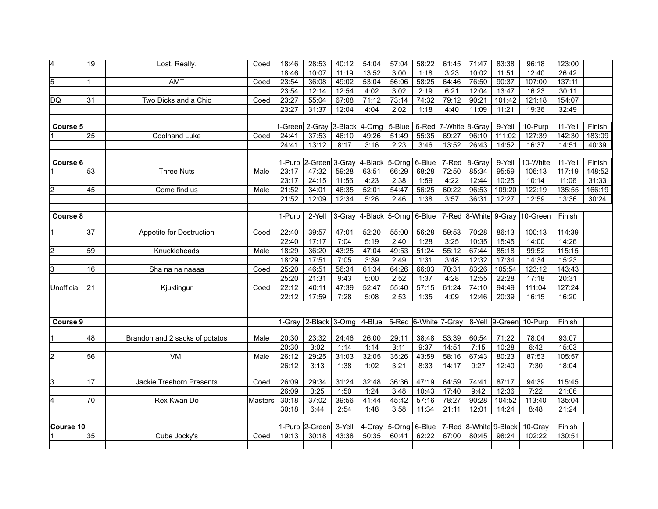| 4              | 19              | Lost. Really.                   | Coed           | 18:46           | 28:53                   | 40:12          | 54:04                        | 57:04  | 58:22                | 61:45                | 71:47           | 83:38           | 96:18                         | 123:00            |                  |
|----------------|-----------------|---------------------------------|----------------|-----------------|-------------------------|----------------|------------------------------|--------|----------------------|----------------------|-----------------|-----------------|-------------------------------|-------------------|------------------|
|                |                 |                                 |                | 18:46           | 10:07                   | 11:19          | 13:52                        | 3:00   | 1:18                 | 3:23                 | 10:02           | 11:51           | 12:40                         | 26:42             |                  |
| 5              | Ι1              | AMT                             | Coed           | 23:54           | 36:08                   | 49:02          | 53:04                        | 56:06  | 58:25                | 64:46                | 76:50           | 90:37           | 107:00                        | 137:11            |                  |
|                |                 |                                 |                | 23:54           | 12:14                   | 12:54          | 4:02                         | 3:02   | 2:19                 | 6:21                 | 12:04           | 13:47           | 16:23                         | 30:11             |                  |
| DQ             | 31              | Two Dicks and a Chic            | Coed           | 23:27           | 55:04                   | 67:08          | 71:12                        | 73:14  | 74:32                | 79:12                | 90:21           | 101:42          | 121:18                        | 154:07            |                  |
|                |                 |                                 |                | 23:27           | 31:37                   | 12:04          | 4:04                         | 2:02   | 1:18                 | 4:40                 | 11:09           | 11:21           | 19:36                         | 32:49             |                  |
|                |                 |                                 |                |                 |                         |                |                              |        |                      |                      |                 |                 |                               |                   |                  |
| Course 5       |                 |                                 |                |                 | 1-Green 2-Gray          |                | 3-Black 4-Orng               | 5-Blue |                      | 6-Red 7-White 8-Gray |                 | 9-Yell          | 10-Purp                       | 11-Yell           | Finish           |
|                | 25              | <b>Coolhand Luke</b>            | Coed           | 24:41           | 37:53                   | 46:10          | 49:26                        | 51:49  | 55:35                | 69:27                | 96:10           | 111:02          | 127:39                        | 142:30            | 183:09           |
|                |                 |                                 |                | 24:41           | 13:12                   | 8:17           | 3:16                         | 2:23   | 3:46                 | 13:52                | 26:43           | 14:52           | 16:37                         | 14:51             | 40:39            |
|                |                 |                                 |                |                 |                         |                |                              |        | 6-Blue               |                      |                 |                 |                               |                   |                  |
| Course 6       | $\overline{53}$ | <b>Three Nuts</b>               |                | 1-Purp<br>23:17 | 2-Green 3-Gray<br>47:32 |                | 4-Black 5-Orng               | 66:29  | 68:28                | 7-Red<br>72:50       | 8-Gray<br>85:34 | 9-Yell<br>95:59 | 10-White<br>106:13            | 11-Yell<br>117:19 | Finish<br>148:52 |
|                |                 |                                 | Male           | 23:17           | 24:15                   | 59:28<br>11:56 | 63:51<br>4:23                | 2:38   | 1:59                 | 4:22                 | 12:44           | 10:25           | 10:14                         | 11:06             | 31:33            |
| $\overline{c}$ | 45              | Come find us                    | Male           | 21:52           | 34:01                   | 46:35          | 52:01                        | 54:47  | 56:25                | 60:22                | 96:53           | 109:20          | 122:19                        | 135:55            | 166:19           |
|                |                 |                                 |                | 21:52           | 12:09                   | 12:34          | 5:26                         | 2:46   | 1:38                 | 3:57                 | 36:31           | 12:27           | 12:59                         | 13:36             | 30:24            |
|                |                 |                                 |                |                 |                         |                |                              |        |                      |                      |                 |                 |                               |                   |                  |
| Course 8       |                 |                                 |                | 1-Purp          | 2-Yell                  |                | 3-Gray 4-Black 5-Orng 6-Blue |        |                      |                      |                 |                 | 7-Red 8-White 9-Gray 10-Green | Finish            |                  |
|                |                 |                                 |                |                 |                         |                |                              |        |                      |                      |                 |                 |                               |                   |                  |
|                | 37              | Appetite for Destruction        | Coed           | 22:40           | 39:57                   | 47:01          | 52:20                        | 55:00  | 56:28                | 59:53                | 70:28           | 86:13           | 100:13                        | 114:39            |                  |
|                |                 |                                 |                | 22:40           | 17:17                   | 7:04           | 5:19                         | 2:40   | 1:28                 | 3:25                 | 10:35           | 15:45           | 14:00                         | 14:26             |                  |
| $\overline{c}$ | 59              | Knuckleheads                    | Male           | 18:29           | 36:20                   | 43:25          | 47:04                        | 49:53  | 51:24                | 55:12                | 67:44           | 85:18           | 99:52                         | 115:15            |                  |
|                |                 |                                 |                | 18:29           | 17:51                   | 7:05           | 3:39                         | 2:49   | 1:31                 | 3:48                 | 12:32           | 17:34           | 14:34                         | 15:23             |                  |
| 3              | 16              | Sha na na naaaa                 | Coed           | 25:20           | 46:51                   | 56:34          | 61:34                        | 64:26  | 66:03                | 70:31                | 83:26           | 105:54          | 123:12                        | 143:43            |                  |
|                |                 |                                 |                | 25:20           | 21:31                   | 9:43           | 5:00                         | 2:52   | 1:37                 | 4:28                 | 12:55           | 22:28           | 17:18                         | 20:31             |                  |
| Unofficial     | $\overline{21}$ | Kjuklingur                      | Coed           | 22:12           | 40:11                   | 47:39          | 52:47                        | 55:40  | 57:15                | 61:24                | 74:10           | 94:49           | 111:04                        | 127:24            |                  |
|                |                 |                                 |                | 22:12           | 17:59                   | 7:28           | 5:08                         | 2:53   | 1:35                 | 4:09                 | 12:46           | 20:39           | 16:15                         | 16:20             |                  |
|                |                 |                                 |                |                 |                         |                |                              |        |                      |                      |                 |                 |                               |                   |                  |
|                |                 |                                 |                | 1-Grav          | 2-Black 3-Orng          |                | 4-Blue                       |        | 5-Red 6-White 7-Gray |                      | 8-Yell          | 9-Green         |                               | Finish            |                  |
| Course 9       |                 |                                 |                |                 |                         |                |                              |        |                      |                      |                 |                 | 10-Purp                       |                   |                  |
|                | 48              | Brandon and 2 sacks of potatos  | Male           | 20:30           | 23:32                   | 24:46          | 26:00                        | 29:11  | 38:48                | 53:39                | 60:54           | 71:22           | 78:04                         | 93:07             |                  |
|                |                 |                                 |                | 20:30           | 3:02                    | 1:14           | 1:14                         | 3:11   | 9:37                 | 14:51                | 7:15            | 10:28           | 6:42                          | 15:03             |                  |
| $\overline{c}$ | 56              | VMI                             | Male           | 26:12           | 29:25                   | 31:03          | 32:05                        | 35:26  | 43:59                | 58:16                | 67:43           | 80:23           | 87:53                         | 105:57            |                  |
|                |                 |                                 |                | 26:12           | 3:13                    | 1:38           | 1:02                         | 3:21   | 8:33                 | 14:17                | 9:27            | 12:40           | 7:30                          | 18:04             |                  |
|                |                 |                                 |                |                 |                         |                |                              |        |                      |                      |                 |                 |                               |                   |                  |
| 3              | 17              | <b>Jackie Treehorn Presents</b> | Coed           | 26:09           | 29:34                   | 31:24          | 32:48                        | 36:36  | 47:19                | 64:59                | 74:41           | 87:17           | 94:39                         | 115:45            |                  |
|                |                 |                                 |                | 26:09           | 3:25                    | 1:50           | 1:24                         | 3:48   | 10:43                | 17:40                | 9:42            | 12:36           | 7:22                          | 21:06             |                  |
| 4              | 70              | Rex Kwan Do                     | <b>Masters</b> | 30:18           | 37:02                   | 39:56          | 41:44                        | 45:42  | 57:16                | 78:27                | 90:28           | 104:52          | 113:40                        | 135:04            |                  |
|                |                 |                                 |                | 30:18           | 6:44                    | 2:54           | 1:48                         | 3:58   | 11:34                | 21:11                | 12:01           | 14:24           | 8:48                          | 21:24             |                  |
|                |                 |                                 |                |                 |                         |                |                              |        |                      |                      |                 |                 |                               |                   |                  |
| Course 10      |                 |                                 |                | 1-Purp          | 2-Green                 | 3-Yell         | 4-Gray                       | 5-Orng | 6-Blue               | 7-Red                | 8-White         | 9-Black         | 10-Gray                       | Finish            |                  |
|                | 35              | Cube Jocky's                    | Coed           | 19:13           | 30:18                   | 43:38          | 50:35                        | 60:41  | 62:22                | 67:00                | 80:45           | 98:24           | 102:22                        | 130:51            |                  |
|                |                 |                                 |                |                 |                         |                |                              |        |                      |                      |                 |                 |                               |                   |                  |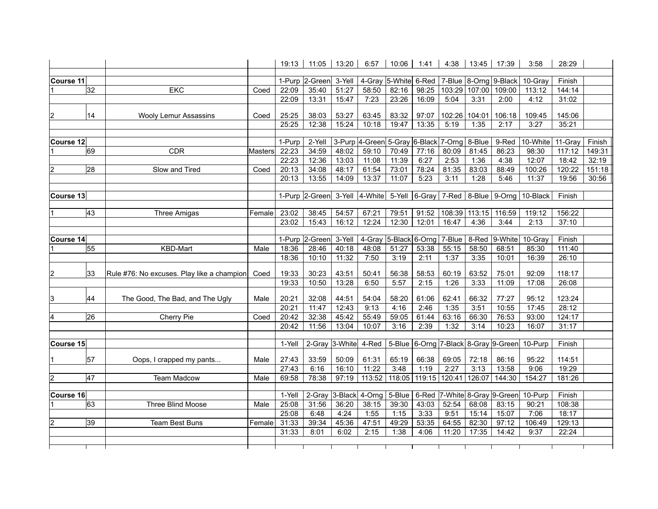|                  |    |                                            |                | 19:13           | 11:05                         | 13:20          | 6:57                    | 10:06                                | 1:41           | 4:38           | 13:45          | 17:39                                | 3:58             | 28:29            |        |
|------------------|----|--------------------------------------------|----------------|-----------------|-------------------------------|----------------|-------------------------|--------------------------------------|----------------|----------------|----------------|--------------------------------------|------------------|------------------|--------|
|                  |    |                                            |                |                 |                               |                |                         |                                      |                |                |                |                                      |                  |                  |        |
| Course 11        | 32 |                                            |                | 1-Purp          | 2-Green                       | 3-Yell         |                         | 4-Gray 5-White 6-Red                 |                |                |                | 7-Blue 8-Orng 9-Black                | 10-Gray          | Finish           |        |
|                  |    | <b>EKC</b>                                 | Coed           | 22:09<br>22:09  | 35:40<br>13:31                | 51:27<br>15:47 | 58:50<br>7:23           | 82:16<br>23:26                       | 98:25<br>16:09 | 103:29<br>5:04 | 107:00<br>3:31 | 109:00<br>2:00                       | 113:12<br>4:12   | 144:14<br>31:02  |        |
|                  |    |                                            |                |                 |                               |                |                         |                                      |                |                |                |                                      |                  |                  |        |
| $\overline{c}$   | 14 | <b>Wooly Lemur Assassins</b>               | Coed           | 25:25           | 38:03                         | 53:27          | 63:45                   | 83:32                                | 97:07          | 102:26         | 104:01         | 106:18                               | 109:45           | 145:06           |        |
|                  |    |                                            |                | 25:25           | 12:38                         | 15:24          | 10:18                   | 19:47                                | 13:35          | 5:19           | 1:35           | 2:17                                 | 3:27             | 35:21            |        |
|                  |    |                                            |                |                 |                               |                |                         |                                      |                |                |                |                                      |                  |                  |        |
| Course 12        |    |                                            |                | 1-Purp          | 2-Yell                        |                |                         | 3-Purp 4-Green 5-Gray 6-Black 7-Orng |                |                | 8-Blue         | 9-Red                                | 10-White         | 11-Gray          | Finish |
|                  | 69 | CDR                                        | <b>Masters</b> | 22:23           | 34:59                         | 48:02          | 59:10                   | 70:49                                | 77:16          | 80:09          | 81:45          | 86:23                                | 98:30            | 117:12           | 149:31 |
|                  |    |                                            |                | 22:23           | 12:36                         | 13:03          | 11:08                   | 11:39                                | 6:27           | 2:53           | 1:36           | 4:38                                 | 12:07            | 18:42            | 32:19  |
| $\overline{2}$   | 28 | Slow and Tired                             | Coed           | 20:13           | 34:08                         | 48:17          | 61:54                   | 73:01                                | 78:24          | 81:35          | 83:03          | 88:49                                | 100:26           | 120:22           | 151:18 |
|                  |    |                                            |                | 20:13           | 13:55                         | 14:09          | 13:37                   | 11:07                                | 5:23           | 3:11           | 1:28           | 5:46                                 | 11:37            | 19:56            | 30:56  |
|                  |    |                                            |                |                 |                               |                |                         |                                      |                |                |                |                                      |                  |                  |        |
| Course 13        |    |                                            |                |                 | 1-Purp 2-Green 3-Yell 4-White |                |                         |                                      | 5-Yell 6-Gray  |                |                | 7-Red $ 8$ -Blue $ 9$ -Orng          | 10-Black         | Finish           |        |
|                  |    |                                            |                |                 |                               |                |                         |                                      |                |                |                |                                      |                  |                  |        |
|                  | 43 | Three Amigas                               | Female         | 23:02           | 38:45                         | 54:57          | 67:21                   | 79:51                                | 91:52          | 108:39         | 113:15         | 116:59                               | 119:12           | 156:22           |        |
|                  |    |                                            |                | 23:02           | 15:43                         | 16:12          | 12:24                   | 12:30                                | 12:01          | 16:47          | 4:36           | 3:44                                 | 2:13             | 37:10            |        |
|                  |    |                                            |                |                 |                               |                |                         |                                      |                |                |                |                                      |                  |                  |        |
| <b>Course 14</b> |    |                                            |                | 1-Purp          | 2-Green                       | 3-Yell         | $\overline{4}$ -Gray    | 5-Black 6-Orng                       |                | 7-Blue         | 8-Red          | 9-White                              | 10-Gray          | Finish           |        |
|                  | 55 | <b>KBD-Mart</b>                            | Male           | 18:36           | 28:46                         | 40:18          | 48:08                   | 51:27                                | 53:38          | 55:15          | 58:50          | 68:51                                | 85:30            | 111:40           |        |
|                  |    |                                            |                | 18:36           | 10:10                         | 11:32          | 7:50                    | 3:19                                 | 2:11           | 1:37           | 3:35           | 10:01                                | 16:39            | 26:10            |        |
| 2                | 33 | Rule #76: No excuses. Play like a champion | Coed           | 19:33           | 30:23                         | 43:51          | 50:41                   | 56:38                                | 58:53          | 60:19          | 63:52          | 75:01                                | 92:09            | 118:17           |        |
|                  |    |                                            |                | 19:33           | 10:50                         | 13:28          | 6:50                    | 5:57                                 | 2:15           | 1:26           | 3:33           | 11:09                                | 17:08            | 26:08            |        |
|                  |    |                                            |                |                 |                               |                |                         |                                      |                |                |                |                                      |                  |                  |        |
| 3                | 44 | The Good, The Bad, and The Ugly            | Male           | 20:21           | 32:08                         | 44:51          | 54:04                   | 58:20                                | 61:06          | 62:41          | 66:32          | 77:27                                | 95:12            | 123:24           |        |
|                  |    |                                            |                | 20:21           | 11:47                         | 12:43          | 9:13                    | 4:16                                 | 2:46           | 1:35           | 3:51           | 10:55                                | 17:45            | 28:12            |        |
| 4                | 26 | Cherry Pie                                 | Coed           | 20:42           | 32:38                         | 45:42          | 55:49                   | 59:05                                | 61:44          | 63:16          | 66:30          | 76:53                                | 93:00            | 124:17           |        |
|                  |    |                                            |                | 20:42           | 11:56                         | 13:04          | 10:07                   | 3:16                                 | 2:39           | 1:32           | 3:14           | 10:23                                | 16:07            | 31:17            |        |
|                  |    |                                            |                |                 |                               |                |                         |                                      |                |                |                |                                      |                  |                  |        |
| Course 15        |    |                                            |                | 1-Yell          | 2-Gray 3-White 4-Red          |                |                         |                                      |                |                |                | 5-Blue 6-Orng 7-Black 8-Gray 9-Green | 10-Purp          | Finish           |        |
|                  |    |                                            |                |                 |                               |                |                         |                                      |                |                |                |                                      |                  |                  |        |
|                  | 57 | Oops, I crapped my pants                   | Male           | 27:43           | 33:59                         | 50:09          | 61:31                   | 65:19                                | 66:38          | 69:05          | 72:18          | 86:16                                | 95:22            | 114:51           |        |
|                  |    |                                            |                | 27:43           | 6:16                          | 16:10          | 11:22                   | 3:48                                 | 1:19           | 2:27           | 3:13           | 13:58                                | 9:06             | 19:29            |        |
| $\overline{c}$   | 47 | <b>Team Madcow</b>                         | Male           | 69:58           | 78:38                         | 97:19          | 113:52                  | 118:05                               | 119:15         | 120:41         | 126:07         | 144:30                               | 154:27           | 181:26           |        |
|                  |    |                                            |                |                 |                               |                |                         |                                      |                |                |                |                                      |                  |                  |        |
| Course 16        | 63 | <b>Three Blind Moose</b>                   | Male           | 1-Yell<br>25:08 | 2-Gray<br>31:56               | 36:20          | 3-Black 4-Orng<br>38:15 | 5-Blue<br>39:30                      | 6-Red<br>43:03 | 52:54          | 68:08          | 7-White 8-Gray 9-Green<br>83:15      | 10-Purp<br>90:21 | Finish<br>108:38 |        |
|                  |    |                                            |                |                 | 6:48                          | 4:24           | 1:55                    | 1:15                                 | 3:33           | 9:51           | 15:14          | 15:07                                | 7:06             | 18:17            |        |
| $\overline{2}$   | 39 | <b>Team Best Buns</b>                      | Female         | 25:08<br>31:33  | 39:34                         | 45:36          | 47:51                   | 49:29                                | 53:35          | 64:55          | 82:30          | 97:12                                | 106:49           | 129:13           |        |
|                  |    |                                            |                | 31:33           |                               | 6:02           | 2:15                    | 1:38                                 |                |                | 17:35          | 14:42                                | 9:37             | 22:24            |        |
|                  |    |                                            |                |                 | 8:01                          |                |                         |                                      | 4:06           | 11:20          |                |                                      |                  |                  |        |
|                  |    |                                            |                |                 | Τ                             |                |                         |                                      |                |                |                |                                      |                  |                  |        |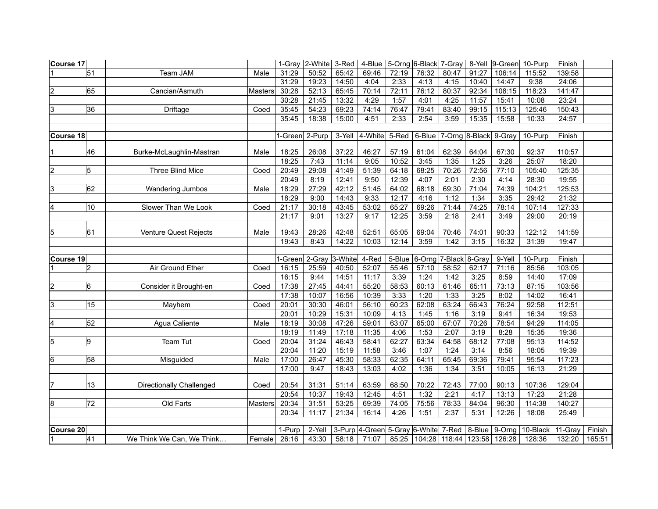| Course 17        |                |                                 |                |                 |                 |         | 1-Gray   2-White   3-Red   4-Blue   5-Orng   6-Black   7-Gray   8-Yell   9-Green |        |                                        |                |       |                  | 10-Purp  | Finish            |                  |
|------------------|----------------|---------------------------------|----------------|-----------------|-----------------|---------|----------------------------------------------------------------------------------|--------|----------------------------------------|----------------|-------|------------------|----------|-------------------|------------------|
|                  | 51             | <b>Team JAM</b>                 | Male           | 31:29           | 50:52           | 65:42   | 69:46                                                                            | 72:19  | 76:32                                  | 80:47          | 91:27 | 106:14           | 115:52   | 139:58            |                  |
|                  |                |                                 |                | 31:29           | 19:23           | 14:50   | 4:04                                                                             | 2:33   | 4:13                                   | 4:15           | 10:40 | 14:47            | 9:38     | 24:06             |                  |
| $\overline{2}$   | 65             | Cancian/Asmuth                  | <b>Masters</b> | 30:28           | 52:13           | 65:45   | 70:14                                                                            | 72:11  | 76:12                                  | 80:37          | 92:34 | 108:15           | 118:23   | 141:47            |                  |
|                  |                |                                 |                | 30:28           | 21:45           | 13:32   | 4:29                                                                             | 1:57   | 4:01                                   | 4:25           | 11:57 | 15:41            | 10:08    | 23:24             |                  |
| 3                | 36             | Driftage                        | Coed           | 35:45           | 54:23           | 69:23   | 74:14                                                                            | 76:47  | 79:41                                  | 83:40          | 99:15 | 115:13           | 125:46   | 150:43            |                  |
|                  |                |                                 |                | 35:45           | 18:38           | 15:00   | 4:51                                                                             | 2:33   | 2:54                                   | 3:59           | 15:35 | 15:58            | 10:33    | 24:57             |                  |
|                  |                |                                 |                |                 |                 |         |                                                                                  |        |                                        |                |       |                  |          |                   |                  |
| <b>Course 18</b> |                |                                 |                |                 | -Green 2-Purp   | 3-Yell  | 4-White                                                                          |        | 5-Red   6-Blue   7-Orng 8-Black 9-Gray |                |       |                  | 10-Purp  | Finish            |                  |
|                  | 46             | Burke-McLaughlin-Mastran        | Male           | 18:25           | 26:08           | 37:22   | 46:27                                                                            | 57:19  | 61:04                                  | 62:39          | 64:04 | 67:30            | 92:37    | 110:57            |                  |
|                  |                |                                 |                | 18:25           | 7:43            | 11:14   | 9:05                                                                             | 10:52  | 3:45                                   | 1:35           | 1:25  | 3:26             | 25:07    | 18:20             |                  |
| $\overline{c}$   | 5              | Three Blind Mice                | Coed           | 20:49           | 29:08           | 41:49   | 51:39                                                                            | 64:18  | 68:25                                  | 70:26          | 72:56 | 77:10            | 105:40   | 125:35            |                  |
|                  |                |                                 |                | 20:49           | 8:19            | 12:41   | 9:50                                                                             | 12:39  | 4:07                                   | 2:01           | 2:30  | 4:14             | 28:30    | 19:55             |                  |
| 3                | 62             | Wandering Jumbos                | Male           | 18:29           | 27:29           | 42:12   | 51:45                                                                            | 64:02  | 68:18                                  | 69:30          | 71:04 | 74:39            | 104:21   | 125:53            |                  |
|                  |                |                                 |                | 18:29           | 9:00            | 14:43   | 9:33                                                                             | 12:17  | 4:16                                   | 1:12           | 1:34  | 3:35             | 29:42    | 21:32             |                  |
| 4                | 10             | Slower Than We Look             | Coed           | 21:17           | 30:18           | 43:45   | 53:02                                                                            | 65:27  | 69:26                                  | 71:44          | 74:25 | 78:14            | 107:14   | 127:33            |                  |
|                  |                |                                 |                | 21:17           | 9:01            | 13:27   | 9:17                                                                             | 12:25  | 3:59                                   | 2:18           | 2:41  | 3:49             | 29:00    | 20:19             |                  |
| 5                | 61             | Venture Quest Rejects           | Male           | 19:43           | 28:26           | 42:48   | 52:51                                                                            | 65:05  | 69:04                                  | 70:46          | 74:01 | 90:33            | 122:12   | 141:59            |                  |
|                  |                |                                 |                | 19:43           | 8:43            | 14:22   | 10:03                                                                            | 12:14  | 3:59                                   | 1:42           | 3:15  | 16:32            | 31:39    | 19:47             |                  |
| <b>Course 19</b> |                |                                 |                | -Green          | 2-Gray          | 3-White | 4-Red                                                                            | 5-Blue | 6-Orng                                 | 7-Black 8-Gray |       | 9-Yell           | 10-Purp  | Finish            |                  |
|                  | $\overline{2}$ | Air Ground Ether                | Coed           | 16:15           | 25:59           | 40:50   | 52:07                                                                            | 55:46  | 57:10                                  | 58:52          | 62:17 | 71:16            | 85:56    | 103:05            |                  |
|                  |                |                                 |                | 16:15           | 9:44            | 14:51   | 11:17                                                                            | 3:39   | 1:24                                   | 1:42           | 3:25  | 8:59             | 14:40    | 17:09             |                  |
| 2                | 6              | Consider it Brought-en          | Coed           | 17:38           | 27:45           | 44:41   | 55:20                                                                            | 58:53  | 60:13                                  | 61:46          | 65:11 | 73:13            | 87:15    | 103:56            |                  |
|                  |                |                                 |                | 17:38           | 10:07           | 16:56   | 10:39                                                                            | 3:33   | 1:20                                   | 1:33           | 3:25  | 8:02             | 14:02    | 16:41             |                  |
| 3                | 15             | Mayhem                          | Coed           | 20:01           | 30:30           | 46:01   | 56:10                                                                            | 60:23  | 62:08                                  | 63:24          | 66:43 | 76:24            | 92:58    | 112:51            |                  |
|                  |                |                                 |                | 20:01           | 10:29           | 15:31   | 10:09                                                                            | 4:13   | 1:45                                   | 1:16           | 3:19  | 9:41             | 16:34    | 19:53             |                  |
| $\overline{4}$   | 52             | Agua Caliente                   | Male           | 18:19           | 30:08           | 47:26   | 59:01                                                                            | 63:07  | 65:00                                  | 67:07          | 70:26 | 78:54            | 94:29    | 114:05            |                  |
|                  |                |                                 |                | 18:19           | 11:49           | 17:18   | 11:35                                                                            | 4:06   | 1:53                                   | 2:07           | 3:19  | 8:28             | 15:35    | 19:36             |                  |
| 5                | 9              | Team Tut                        | Coed           | 20:04           | 31:24           | 46:43   | 58:41                                                                            | 62:27  | 63:34                                  | 64:58          | 68:12 | 77:08            | 95:13    | 114:52            |                  |
|                  |                |                                 |                | 20:04           | 11:20           | 15:19   | 11:58                                                                            | 3:46   | 1:07                                   | 1:24           | 3:14  | 8:56             | 18:05    | 19:39             |                  |
| 6                | 58             | Misguided                       | Male           | 17:00           | 26:47           | 45:30   | 58:33                                                                            | 62:35  | 64:11                                  | 65:45          | 69:36 | 79:41            | 95:54    | 117:23            |                  |
|                  |                |                                 |                | 17:00           | 9:47            | 18:43   | 13:03                                                                            | 4:02   | 1:36                                   | 1:34           | 3:51  | 10:05            | 16:13    | 21:29             |                  |
| 7                | 13             | <b>Directionally Challenged</b> | Coed           | 20:54           | 31:31           | 51:14   | 63:59                                                                            | 68:50  | 70:22                                  | 72:43          | 77:00 | 90:13            | 107:36   | 129:04            |                  |
|                  |                |                                 |                | 20:54           | 10:37           | 19:43   | 12:45                                                                            | 4:51   | 1:32                                   | 2:21           | 4:17  | 13:13            | 17:23    | 21:28             |                  |
| 8                | 72             | Old Farts                       | <b>Masters</b> | 20:34           | 31:51           | 53:25   | 69:39                                                                            | 74:05  | 75:56                                  | 78:33          | 84:04 | 96:30            | 114:38   | 140:27            |                  |
|                  |                |                                 |                | 20:34           | 11:17           | 21:34   | 16:14                                                                            | 4:26   | 1:51                                   | 2:37           | 5:31  | 12:26            | 18:08    | 25:49             |                  |
|                  |                |                                 |                |                 |                 |         | 3-Purp 4-Green 5-Gray 6-White 7-Red 8-Blue                                       |        |                                        |                |       |                  |          |                   |                  |
| <b>Course 20</b> | 41             | We Think We Can, We Think       | Female         | 1-Purp<br>26:16 | 2-Yell<br>43:30 | 58:18   | 71:07                                                                            |        | 85:25   104:28   118:44   123:58       |                |       | 9-Orng<br>126:28 | 10-Black | 11-Gray<br>132:20 | Finish<br>165:51 |
|                  |                |                                 |                |                 |                 |         |                                                                                  |        |                                        |                |       |                  | 128:36   |                   |                  |